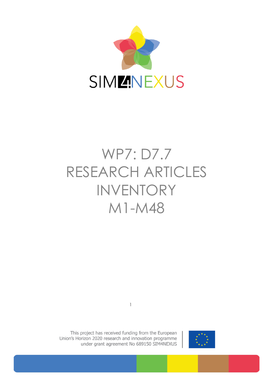

# WP7: D7.7 RESEARCH ARTICLES INVENTORY M1-M48



This project has received funding from the European Union's Horizon 2020 research and innovation programme under grant agreement No 689150 SIM4NEXUS

1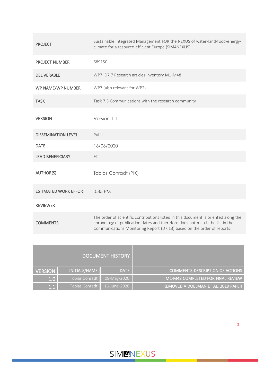| <b>PROJECT</b>               | Sustainable Integrated Management FOR the NEXUS of water-land-food-energy-<br>climate for a resource-efficient Europe (SIM4NEXUS)                                                                                                              |
|------------------------------|------------------------------------------------------------------------------------------------------------------------------------------------------------------------------------------------------------------------------------------------|
| <b>PROJECT NUMBER</b>        | 689150                                                                                                                                                                                                                                         |
| <b>DELIVERABLE</b>           | WP7: D7.7 Research articles inventory M1-M48                                                                                                                                                                                                   |
| WP NAME/WP NUMBER            | WP7 (also relevant for WP2)                                                                                                                                                                                                                    |
| <b>TASK</b>                  | Task 7.3 Communications with the research community                                                                                                                                                                                            |
| <b>VERSION</b>               | Version 1.1                                                                                                                                                                                                                                    |
| <b>DISSEMINATION LEVEL</b>   | Public                                                                                                                                                                                                                                         |
| <b>DATE</b>                  | 16/06/2020                                                                                                                                                                                                                                     |
| <b>LEAD BENEFICIARY</b>      | FT.                                                                                                                                                                                                                                            |
| <b>AUTHOR(S)</b>             | Tobias Conradt (PIK)                                                                                                                                                                                                                           |
| <b>ESTIMATED WORK EFFORT</b> | 0.85 PM                                                                                                                                                                                                                                        |
| <b>REVIEWER</b>              |                                                                                                                                                                                                                                                |
| <b>COMMENTS</b>              | The order of scientific contributions listed in this document is oriented along the<br>chronology of publication dates and therefore does not match the list in the<br>Communications Monitoring Report (D7.13) based on the order of reports. |

| DOCUMENT HISTORY |                |              |                                        |
|------------------|----------------|--------------|----------------------------------------|
| <b>VERSION</b>   | INITIALS/NAME  | <b>DATE</b>  | <b>COMMENTS-DESCRIPTION OF ACTIONS</b> |
| 1.0              | Tobias Conradt | 09-May-2020  | M1-M48 COMPLETED FOR FINAL REVIEW      |
| 1.1              | Tobias Conradt | 16-June-2020 | REMOVED A DOELMAN ET AL. 2019 PAPER    |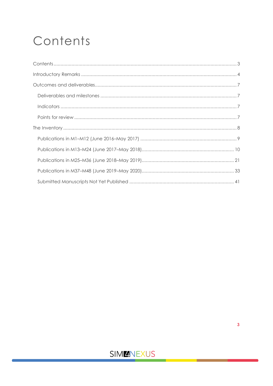# <span id="page-2-0"></span>Contents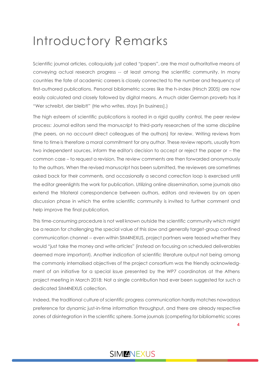## <span id="page-3-0"></span>Introductory Remarks

Scientific journal articles, colloquially just called "papers", are the most authoritative means of conveying actual research progress -- at least among the scientific community. In many countries the fate of academic careers is closely connected to the number and frequency of first-authored publications. Personal bibliometric scores like the h-index (Hirsch 2005) are now easily calculated and closely followed by digital means. A much older German proverb has it "Wer schreibt, der bleibt!" (He who writes, stays [in business].)

The high esteem of scientific publications is rooted in a rigid quality control, the peer review process: Journal editors send the manuscript to third-party researchers of the same discipline (the peers, on no account direct colleagues of the authors) for review. Writing reviews from time to time is therefore a moral commitment for any author. These review reports, usually from two independent sources, inform the editor's decision to accept or reject the paper or – the common case – to request a revision. The review comments are then forwarded anonymously to the authors. When the revised manuscript has been submitted, the reviewers are sometimes asked back for their comments, and occasionally a second correction loop is exercised until the editor greenlights the work for publication. Utilizing online dissemination, some journals also extend the trilateral correspondence between authors, editors and reviewers by an open discussion phase in which the entire scientific community is invited to further comment and help improve the final publication.

This time-consuming procedure is not well known outside the scientific community which might be a reason for challenging the special value of this slow and generally target-group confined communication channel -- even within SIM4NEXUS, project partners were teased whether they would "just take the money and write articles" (instead on focusing on scheduled deliverables deemed more important). Another indication of scientific literature output not being among the commonly internalised objectives of the project consortium was the friendly acknowledgment of an initiative for a special issue presented by the WP7 coordinators at the Athens project meeting in March 2018: Not a single contribution had ever been suggested for such a dedicated SIM4NEXUS collection.

Indeed, the traditional culture of scientific progress communication hardly matches nowadays preference for dynamic just-in-time information throughput, and there are already respective zones of disintegration in the scientific sphere. Some journals (competing for bibliometric scores

### **SIMMNEXUS**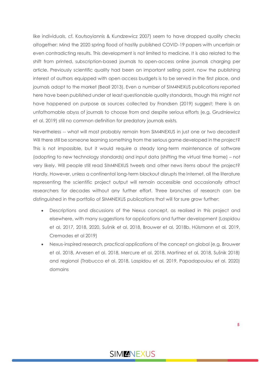like individuals, cf. Koutsoyiannis & Kundzewicz 2007) seem to have dropped quality checks altogether: Mind the 2020 spring flood of hastily published COVID-19 papers with uncertain or even contradicting results. This development is not limited to medicine. It is also related to the shift from printed, subscription-based journals to open-access online journals charging per article. Previously scientific quality had been an important selling point, now the publishing interest of authors equipped with open access budgets is to be served in the first place, and journals adopt to the market (Beall 2013). Even a number of SIM4NEXUS publications reported here have been published under at least questionable quality standards, though this might not have happened on purpose as sources collected by Frandsen (2019) suggest; there is an unfathomable abyss of journals to choose from and despite serious efforts (e.g. Grudniewicz et al. 2019) still no common definition for predatory journals exists.

Nevertheless -- what will most probably remain from SIM4NEXUS in just one or two decades? Will there still be someone learning something from the serious game developed in the project? This is not impossible, but it would require a steady long-term maintenance of software (adopting to new technology standards) and input data (shifting the virtual time frame) – not very likely. Will people still read SIM4NEXUS tweets and other news items about the project? Hardly. However, unless a continental long-term blackout disrupts the Internet, all the literature representing the scientific project output will remain accessible and occasionally attract researchers for decades without any further effort. Three branches of research can be distinguished in the portfolio of SIM4NEXUS publications that will for sure grow further:

- Descriptions and discussions of the Nexus concept, as realised in this project and elsewhere, with many suggestions for applications and further development (Laspidou et al. 2017, 2018, 2020, Sušnik et al. 2018, Brouwer et al. 2018b, Hülsmann et al. 2019, Cremades et al 2019)
- Nexus-inspired research, practical applications of the concept on alobal (e.g. Brouwer et al. 2018, Arvesen et al. 2018, Mercure et al. 2018, Martinez et al. 2018, Sušnik 2018) and regional (Trabucco et al. 2018, Laspidou et al. 2019, Papadopoulou et al. 2020) domains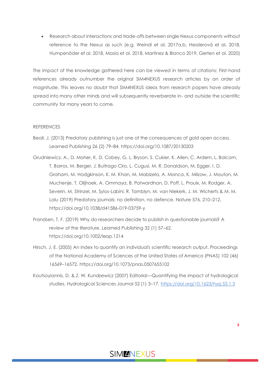• Research about interactions and trade-offs between single Nexus components without reference to the Nexus as such (e.g. Weindl et al. 2017a,b, Hesslerová et al. 2018, Humpenöder et al. 2018, Masia et al. 2018, Martinez & Blanco 2019, Gerten et al. 2020)

The impact of the knowledge gathered here can be viewed in terms of citations: First-hand references already outnumber the original SIM4NEXUS research articles by an order of magnitude. This leaves no doubt that SIM4NEXUS ideas from research papers have already spread into many other minds and will subsequently reverberate in- and outside the scientific community for many years to come.

#### **REFERENCES**

- Beall, J. (2013) Predatory publishing is just one of the consequences of gold open access. Learned Publishing 26 (2) 79–84. https://doi.org/10.1087/20130203
- Grudniewicz, A., D. Moher, K. D. Cobey, G. L. Bryson, S. Cukier, K. Allen, C. Ardern, L. Balcom, T. Barros, M. Berger, J. Buitrago Ciro, L. Cugusi, M. R. Donaldson, M. Egger, I. D. Graham, M. Hodgkinson, K. M. Khan, M. Mabizela, A. Manca, K. Milzow, J. Mouton, M. Muchenje, T. Olijhoek, A. Ommaya, B. Patwardhan, D. Poff, L. Proulx, M. Rodger, A. Severin, M. Strinzel, M. Sylos-Labini, R. Tamblyn, M. van Niekerk, J. M. Wicherts & M. M. Lalu (2019) Predatory journals: no definition, no defence. Nature 576, 210–212. https://doi.org/10.1038/d41586-019-03759-y
- Frandsen, T. F. (2019) Why do researchers decide to publish in questionable journals? A review of the literature. Learned Publishing 32 (1) 57–62. https://doi.org/10.1002/leap.1214
- Hirsch, J. E. (2005) An index to quantify an individual's scientific research output. Proceedings of the National Academy of Sciences of the United States of America (PNAS) 102 (46) 16569–16572. https://doi.org/10.1073/pnas.0507655102
- Koutsoyiannis, D. & Z. W. Kundzewicz (2007) Editorial—Quantifying the impact of hydrological studies. Hydrological Sciences Journal 52 (1) 3–17.<https://doi.org/10.1623/hysj.52.1.3>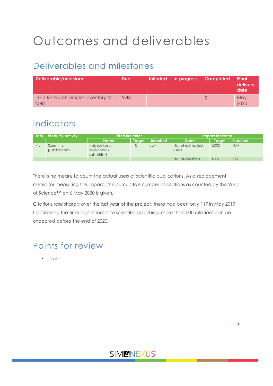# <span id="page-6-0"></span>Outcomes and deliverables

## <span id="page-6-1"></span>Deliverables and milestones

| Deliverable/milestone                           | <b>Due</b> | Initiated In progress | Completed | Final<br>delivery<br>date |
|-------------------------------------------------|------------|-----------------------|-----------|---------------------------|
| D7.7 Research articles inventory M1- M48<br>M48 |            |                       |           | <b>May</b><br>2020        |

### <span id="page-6-2"></span>Indicators

| <b>Task</b> | <b>Product/activity</b>    | <b>Effort indicator</b>                         |               | <b>Impact indicator</b> |                                  |               |                |
|-------------|----------------------------|-------------------------------------------------|---------------|-------------------------|----------------------------------|---------------|----------------|
|             |                            | <b>Name</b>                                     | <b>Taraet</b> | <b>Reached</b>          | <b>Name</b>                      | <b>Taraet</b> | <b>Reached</b> |
| 7.3         | Scientific<br>publications | <b>Publications</b><br>published +<br>submitted | 10            | $32+$                   | No. of estimated<br><b>USers</b> | 5000          | N/A            |
|             |                            |                                                 |               |                         | No. of citations                 | N/A           | 392            |

There is no means to count the actual users of scientific publications. As a replacement metric for measuring the impact, the cumulative number of citations as counted by the Web of Science™ on 6 May 2020 is given.

Citations rose sharply over the last year of the project, there had been only 117 in May 2019. Considering the time lags inherent to scientific publishing, more than 500 citations can be expected before the end of 2020.

### <span id="page-6-3"></span>Points for review

• None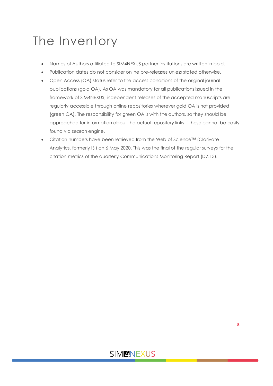## <span id="page-7-0"></span>The Inventory

- Names of Authors affiliated to SIM4NEXUS partner institutions are written in bold.
- Publication dates do not consider online pre-releases unless stated otherwise.
- Open Access (OA) status refer to the access conditions of the original journal publications (gold OA). As OA was mandatory for all publications issued in the framework of SIM4NEXUS, independent releases of the accepted manuscripts are regularly accessible through online repositories wherever gold OA is not provided (green OA). The responsibility for green OA is with the authors, so they should be approached for information about the actual repository links if these cannot be easily found via search engine.
- Citation numbers have been retrieved from the Web of Science™ (Clarivate Analytics, formerly ISI) on 6 May 2020. This was the final of the regular surveys for the citation metrics of the quarterly Communications Monitoring Report (D7.13).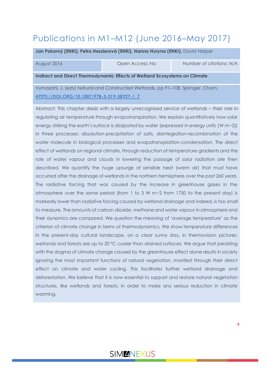## <span id="page-8-0"></span>Publications in M1–M12 (June 2016–May 2017)

**Jan Pokorný (ENKI), Petra Hesslerová (ENKI), Hanna Huryna (ENKI),** David Harper

August 2016 Open Access: No Number of citations: N/A

**Indirect and Direct Thermodynamic Effects of Wetland Ecosystems on Climate**

Vymazahl, J. (eds) Natural and Constructed Wetlands, pp 91–108. Springer, Cham. **[HTTPS://DOI.ORG/10.1007/978-3-319-38927-1\\_7](https://doi.org/10.1007/978-3-319-38927-1_7)**

Abstract: This chapter deals with a largely unrecognised service of wetlands – their role in regulating air temperature through evapotranspiration. We explain quantitatively how solar energy striking the earth's surface is dissipated by water (expressed in energy units (W m−2)) in three processes: dissolution-precipitation of salts, disintegration-recombination of the water molecule in biological processes and evapotranspiration-condensation. The direct effect of wetlands on regional climate, through reduction of temperature gradients and the role of water vapour and clouds in lowering the passage of solar radiation are then described. We quantify the huge upsurge of sensible heat (warm air) that must have occurred after the drainage of wetlands in the northern hemisphere over the past 260 years. The radiative forcing that was caused by the increase in greenhouse gases in the atmosphere over the same period (from 1 to 3 W m−2 from 1750 to the present day) is markedly lower than radiative forcing caused by wetland drainage and indeed, is too small to measure. The amounts of carbon dioxide, methane and water vapour in atmosphere and their dynamics are compared. We question the meaning of 'average temperature' as the criterion of climate change in terms of thermodynamics. We show temperature differences in the present-day cultural landscape, on a clear sunny day, in thermovision pictures: wetlands and forests are up to 20 °C cooler than drained surfaces. We argue that persisting with the dogma of climate change caused by the greenhouse effect alone results in society ignoring the most important functions of natural vegetation, manifest through their direct effect on climate and water cycling. This facilitates further wetland drainage and deforestation. We believe that it is now essential to support and restore natural vegetation structures, like wetlands and forests, in order to make any serious reduction in climate warming.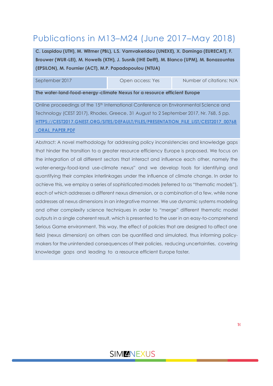## <span id="page-9-0"></span>Publications in M13–M24 (June 2017–May 2018)

**C. Laspidou (UTH), M. Witmer (PBL), L.S. Vamvakeridou (UNEXE), X. Domingo (EURECAT), F. Brouwer (WUR-LEI), M. Howells (KTH), J. Susnik (IHE Delft), M. Blanco (UPM), M. Bonazountas (EPSILON), M. Fournier (ACT), M.P. Papadopoulou (NTUA)**

September 2017 Chemical Communications: N/A

**The water-land-food-energy-climate Nexus for a resource efficient Europe**

Online proceedings of the 15<sup>th</sup> International Conference on Environmental Science and Technology (CEST 2017), Rhodes, Greece, 31 August to 2 September 2017, Nr. 768, 5 pp. **[HTTPS://CEST2017.GNEST.ORG/SITES/DEFAULT/FILES/PRESENTATION\\_FILE\\_LIST/CEST2017\\_00768](https://cest2017.gnest.org/sites/default/files/presentation_file_list/cest2017_00768_oral_paper.pdf) [\\_ORAL\\_PAPER.PDF](https://cest2017.gnest.org/sites/default/files/presentation_file_list/cest2017_00768_oral_paper.pdf)**

Abstract: Α novel methodology for addressing policy inconsistencies and knowledge gaps that hinder the transition to a greater resource efficiency Europe is proposed. We focus on the integration of all different sectors that interact and influence each other, namely the water-energy-food-land use-climate nexus" and we develop tools for identifying and quantifying their complex interlinkages under the influence of climate change. In order to achieve this, we employ a series of sophisticated models (referred to as "thematic models"), each of which addresses a different nexus dimension, or a combination of a few, while none addresses all nexus dimensions in an integrative manner. We use dynamic systems modeling and other complexity science techniques in order to "merge" different thematic model outputs in a single coherent result, which is presented to the user in an easy-to-comprehend Serious Game environment. This way, the effect of policies that are designed to affect one field (nexus dimension) on others can be quantified and simulated, thus informing policymakers for the unintended consequences of their policies, reducing uncertainties, covering knowledge gaps and leading to a resource efficient Europe faster.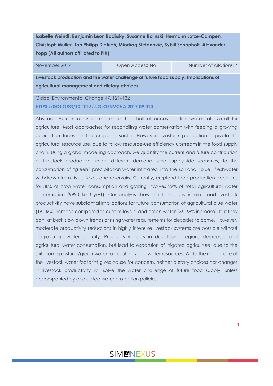**Isabelle Weindl, Benjamin Leon Bodirsky, Susanne Rolinski, Hermann Lotze-Campen, Christoph Müller, Jan Philipp Dietrich, Miodrag Stefanović, Sybill Schaphoff, Alexander Popp (All authors affiliated to PIK)**

November 2017 **Community** Open Access: No Number of citations: 4

**Livestock production and the water challenge of future food supply: Implications of agricultural management and dietary choices**

Global Environmental Change 47, 121–132 **HTTPS://DOI.ORG/10.1016/J.GLOENVCHA.2017.09.010**

Abstract: Human activities use more than half of accessible freshwater, above all for agriculture. Most approaches for reconciling water conservation with feeding a growing population focus on the cropping sector. However, livestock production is pivotal to agricultural resource use, due to its low resource-use efficiency upstream in the food supply chain. Using a global modelling approach, we quantify the current and future contribution of livestock production, under different demand- and supply-side scenarios, to the consumption of "green" precipitation water infiltrated into the soil and "blue" freshwater withdrawn from rivers, lakes and reservoirs. Currently, cropland feed production accounts for 38% of crop water consumption and grazing involves 29% of total agricultural water consumption (9990 km3 yr−1). Our analysis shows that changes in diets and livestock productivity have substantial implications for future consumption of agricultural blue water (19–36% increase compared to current levels) and green water (26–69% increase), but they can, at best, slow down trends of rising water requirements for decades to come. However, moderate productivity reductions in highly intensive livestock systems are possible without aggravating water scarcity. Productivity gains in developing regions decrease total agricultural water consumption, but lead to expansion of irrigated agriculture, due to the shift from grassland/green water to cropland/blue water resources. While the magnitude of the livestock water footprint gives cause for concern, neither dietary choices nor changes in livestock productivity will solve the water challenge of future food supply, unless accompanied by dedicated water protection policies.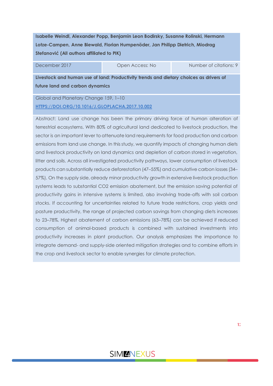**Isabelle Weindl, Alexander Popp, Benjamin Leon Bodirsky, Susanne Rolinski, Hermann Lotze-Campen, Anne Biewald, Florian Humpenöder, Jan Philipp Dietrich, Miodrag Stefanović (All authors affiliated to PIK)**

December 2017 **December 2017** Open Access: No Number of citations: 9

**Livestock and human use of land: Productivity trends and dietary choices as drivers of future land and carbon dynamics**

Global and Planetary Change 159, 1–10 **[HTTPS://DOI.ORG/10.1016/J.GLOPLACHA.2017.10.002](https://doi.org/10.1016/j.gloplacha.2017.10.002)**

Abstract: Land use change has been the primary driving force of human alteration of terrestrial ecosystems. With 80% of agricultural land dedicated to livestock production, the sector is an important lever to attenuate land requirements for food production and carbon emissions from land use change. In this study, we quantify impacts of changing human diets and livestock productivity on land dynamics and depletion of carbon stored in vegetation, litter and soils. Across all investigated productivity pathways, lower consumption of livestock products can substantially reduce deforestation (47–55%) and cumulative carbon losses (34– 57%). On the supply side, already minor productivity growth in extensive livestock production systems leads to substantial CO2 emission abatement, but the emission saving potential of productivity gains in intensive systems is limited, also involving trade-offs with soil carbon stocks. If accounting for uncertainties related to future trade restrictions, crop yields and pasture productivity, the range of projected carbon savings from changing diets increases to 23–78%. Highest abatement of carbon emissions (63–78%) can be achieved if reduced consumption of animal-based products is combined with sustained investments into productivity increases in plant production. Our analysis emphasizes the importance to integrate demand- and supply-side oriented mitigation strategies and to combine efforts in the crop and livestock sector to enable synergies for climate protection.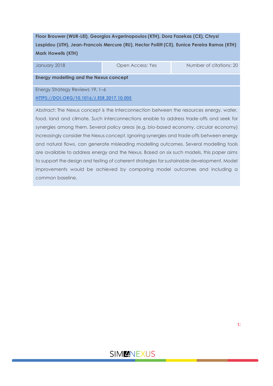### **Floor Brouwer (WUR-LEI), Georgios Avgerinopoulos (KTH), Dora Fazekas (CE), Chrysi Laspidou (UTH), Jean-Francois Mercure (RU), Hector Pollitt (CE), Eunice Pereira Ramos (KTH) Mark Howells (KTH)**

January 2018 **Developed Access: Yes Number of citations: 20** 

#### **Energy modelling and the Nexus concept**

Energy Strategy Reviews 19, 1–6 **[HTTPS://DOI.ORG/10.1016/J.ESR.2017.10.005](https://doi.org/10.1016/j.esr.2017.10.005)**

Abstract: The Nexus concept is the interconnection between the resources energy, water, food, land and climate. Such interconnections enable to address trade-offs and seek for synergies among them. Several policy areas (e.g. bio-based economy, circular economy) increasingly consider the Nexus concept. Ignoring synergies and trade-offs between energy and natural flows, can generate misleading modelling outcomes. Several modelling tools are available to address energy and the Nexus. Based on six such models, this paper aims to support the design and testing of coherent strategies for sustainable development. Model improvements would be achieved by comparing model outcomes and including a common baseline.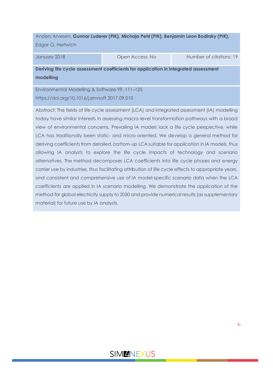Anders Arvesen, **Gunnar Luderer (PIK), Michaja Pehl (PIK), Benjamin Leon Bodirsky (PIK),** Edgar G. Hertwich

January 2018 Open Access: No Number of citations: 19

**Deriving life cycle assessment coefficients for application in integrated assessment modelling**

Environmental Modelling & Software 99, 111–125 https://doi.org/10.1016/j.envsoft.2017.09.010

Abstract: The fields of life cycle assessment (LCA) and integrated assessment (IA) modelling today have similar interests in assessing macro-level transformation pathways with a broad view of environmental concerns. Prevailing IA models lack a life cycle perspective, while LCA has traditionally been static- and micro-oriented. We develop a general method for deriving coefficients from detailed, bottom-up LCA suitable for application in IA models, thus allowing IA analysts to explore the life cycle impacts of technology and scenario alternatives. The method decomposes LCA coefficients into life cycle phases and energy carrier use by industries, thus facilitating attribution of life cycle effects to appropriate years, and consistent and comprehensive use of IA model-specific scenario data when the LCA coefficients are applied in IA scenario modelling. We demonstrate the application of the method for global electricity supply to 2050 and provide numerical results (as supplementary material) for future use by IA analysts.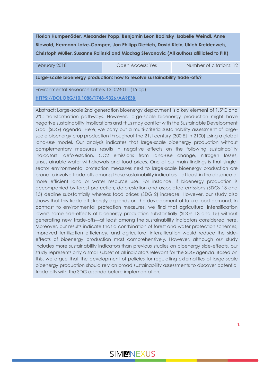**Florian Humpenöder, Alexander Popp, Benjamin Leon Bodirsky, Isabelle Weindl, Anne Biewald, Hermann Lotze-Campen, Jan Philipp Dietrich, David Klein, Ulrich Kreidenweis, Christoph Müller, Susanne Rolinski and Miodrag Stevanovic (All authors affiliated to PIK)**

February 2018 **Community** Copen Access: Yes Number of citations: 12

**Large-scale bioenergy production: how to resolve sustainability trade-offs?**

Environmental Research Letters 13, 024011 (15 pp) **[HTTPS://DOI.ORG/10.1088/1748-9326/AA9E3B](https://doi.org/10.1088/1748-9326/aa9e3b)**

Abstract: Large-scale 2nd generation bioenergy deployment is a key element of 1.5°C and 2°C transformation pathways. However, large-scale bioenergy production might have negative sustainability implications and thus may conflict with the Sustainable Development Goal (SDG) agenda. Here, we carry out a multi-criteria sustainability assessment of largescale bioenergy crop production throughout the 21st century (300 EJ in 2100) using a global land-use model. Our analysis indicates that large-scale bioenergy production without complementary measures results in negative effects on the following sustainability indicators: deforestation, CO2 emissions from land-use change, nitrogen losses, unsustainable water withdrawals and food prices. One of our main findings is that singlesector environmental protection measures next to large-scale bioenergy production are prone to involve trade-offs among these sustainability indicators—at least in the absence of more efficient land or water resource use. For instance, if bioenergy production is accompanied by forest protection, deforestation and associated emissions (SDGs 13 and 15) decline substantially whereas food prices (SDG 2) increase. However, our study also shows that this trade-off strongly depends on the development of future food demand. In contrast to environmental protection measures, we find that agricultural intensification lowers some side-effects of bioenergy production substantially (SDGs 13 and 15) without generating new trade-offs—at least among the sustainability indicators considered here. Moreover, our results indicate that a combination of forest and water protection schemes, improved fertilization efficiency, and agricultural intensification would reduce the sideeffects of bioenergy production most comprehensively. However, although our study includes more sustainability indicators than previous studies on bioenergy side-effects, our study represents only a small subset of all indicators relevant for the SDG agenda. Based on this, we argue that the development of policies for regulating externalities of large-scale bioenergy production should rely on broad sustainability assessments to discover potential trade-offs with the SDG agenda before implementation.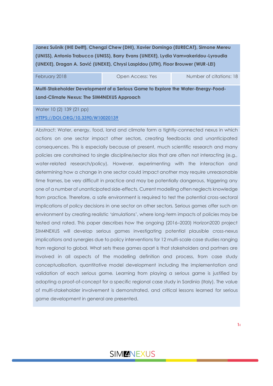**Janez Sušnik (IHE Delft), Chengzi Chew (DHI), Xavier Domingo (EURECAT), Simone Mereu (UNISS), Antonio Trabucco (UNISS), Barry Evans (UNEXE), Lydia Vamvakeridou-Lyroudia (UNEXE), Dragan A. Savić (UNEXE), Chrysi Laspidou (UTH), Floor Brouwer (WUR-LEI)**

February 2018 **Community Community Community** Open Access: Yes Number of citations: 18

**Multi-Stakeholder Development of a Serious Game to Explore the Water-Energy-Food-Land-Climate Nexus: The SIM4NEXUS Approach**

Water 10 (2) 139 (21 pp) **[HTTPS://DOI.ORG/10.3390/W10020139](https://doi.org/10.3390/w10020139)**

Abstract: Water, energy, food, land and climate form a tightly-connected nexus in which actions on one sector impact other sectors, creating feedbacks and unanticipated consequences. This is especially because at present, much scientific research and many policies are constrained to single discipline/sector silos that are often not interacting (e.g., water-related research/policy). However, experimenting with the interaction and determining how a change in one sector could impact another may require unreasonable time frames, be very difficult in practice and may be potentially dangerous, triggering any one of a number of unanticipated side-effects. Current modelling often neglects knowledge from practice. Therefore, a safe environment is required to test the potential cross-sectoral implications of policy decisions in one sector on other sectors. Serious games offer such an environment by creating realistic 'simulations', where long-term impacts of policies may be tested and rated. This paper describes how the ongoing (2016–2020) Horizon2020 project SIM4NEXUS will develop serious games investigating potential plausible cross-nexus implications and synergies due to policy interventions for 12 multi-scale case studies ranging from regional to global. What sets these games apart is that stakeholders and partners are involved in all aspects of the modelling definition and process, from case study conceptualisation, quantitative model development including the implementation and validation of each serious game. Learning from playing a serious game is justified by adopting a proof-of-concept for a specific regional case study in Sardinia (Italy). The value of multi-stakeholder involvement is demonstrated, and critical lessons learned for serious game development in general are presented.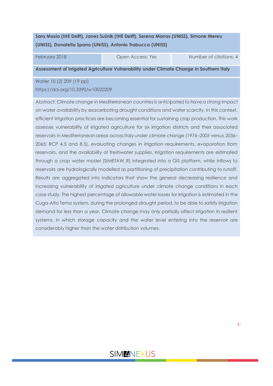### **Sara Masia (IHE Delft), Janez Sušnik (IHE Delft), Serena Marras (UNISS), Simone Mereu (UNISS), Donatella Spano (UNISS), Antonio Trabucco (UNISS)**

February 2018 **Community** Copen Access: Yes Number of citations: 4

**Assessment of Irrigated Agriculture Vulnerability under Climate Change in Southern Italy**

Water 10 (2) 209 (19 pp) https://doi.org/10.3390/w10020209

Abstract: Climate change in Mediterranean countries is anticipated to have a strong impact on water availability by exacerbating drought conditions and water scarcity. In this context, efficient irrigation practices are becoming essential for sustaining crop production. This work assesses vulnerability of irrigated agriculture for six irrigation districts and their associated reservoirs in Mediterranean areas across Italy under climate change (1976–2005 versus 2036– 2065; RCP 4.5 and 8.5), evaluating changes in irrigation requirements, evaporation from reservoirs, and the availability of freshwater supplies. Irrigation requirements are estimated through a crop water model (SIMETAW\_R) integrated into a GIS platform, while inflows to reservoirs are hydrologically modelled as partitioning of precipitation contributing to runoff. Results are aggregated into indicators that show the general decreasing resilience and increasing vulnerability of irrigated agriculture under climate change conditions in each case study. The highest percentage of allowable water losses for irrigation is estimated in the Cuga-Alto Temo system, during the prolonged drought period, to be able to satisfy irrigation demand for less than a year. Climate change may only partially affect irrigation in resilient systems, in which storage capacity and the water level entering into the reservoir are considerably higher than the water distribution volumes.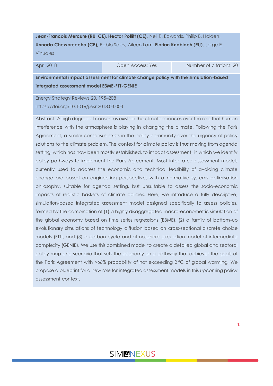**Jean-Francois Mercure (RU, CE), Hector Pollitt (CE),** Neil R. Edwards, Philip B. Holden, **Unnada Chewpreecha (CE),** Pablo Salas, Aileen Lam, **Florian Knobloch (RU),** Jorge E. Vinuales

April 2018 **Open Access: Yes Number of citations: 20** 

**Environmental impact assessment for climate change policy with the simulation-based integrated assessment model E3ME-FTT-GENIE**

Energy Strategy Reviews 20, 195–208 https://doi.org/10.1016/j.esr.2018.03.003

Abstract: A high degree of consensus exists in the climate sciences over the role that human interference with the atmosphere is playing in changing the climate. Following the Paris Agreement, a similar consensus exists in the policy community over the urgency of policy solutions to the climate problem. The context for climate policy is thus moving from agenda setting, which has now been mostly established, to impact assessment, in which we identify policy pathways to implement the Paris Agreement. Most integrated assessment models currently used to address the economic and technical feasibility of avoiding climate change are based on engineering perspectives with a normative systems optimisation philosophy, suitable for agenda setting, but unsuitable to assess the socio-economic impacts of realistic baskets of climate policies. Here, we introduce a fully descriptive, simulation-based integrated assessment model designed specifically to assess policies, formed by the combination of (1) a highly disaggregated macro-econometric simulation of the global economy based on time series regressions (E3ME), (2) a family of bottom-up evolutionary simulations of technology diffusion based on cross-sectional discrete choice models (FTT), and (3) a carbon cycle and atmosphere circulation model of intermediate complexity (GENIE). We use this combined model to create a detailed global and sectoral policy map and scenario that sets the economy on a pathway that achieves the goals of the Paris Agreement with >66% probability of not exceeding 2 °C of global warming. We propose a blueprint for a new role for integrated assessment models in this upcoming policy assessment context.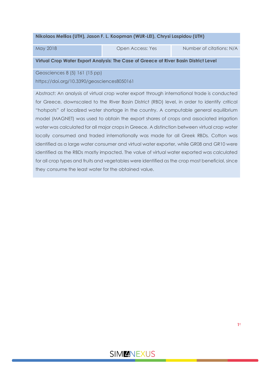#### **Nikolaos Mellios (UTH), Jason F. L. Koopman (WUR-LEI), Chrysi Laspidou (UTH)**

May 2018 **Communist Communist Communist Communist Communist Communist Communist Communist Communist Communist Communist Communist Communist Communist Communist Communist Communist Communist Communist Communist Communist Co** 

**Virtual Crop Water Export Analysis: The Case of Greece at River Basin District Level**

Geosciences 8 (5) 161 (15 pp)

https://doi.org/10.3390/geosciences8050161

Abstract: An analysis of virtual crop water export through international trade is conducted for Greece, downscaled to the River Basin District (RBD) level, in order to identify critical "hotspots" of localized water shortage in the country. A computable general equilibrium model (MAGNET) was used to obtain the export shares of crops and associated irrigation water was calculated for all major crops in Greece. A distinction between virtual crop water locally consumed and traded internationally was made for all Greek RBDs. Cotton was identified as a large water consumer and virtual water exporter, while GR08 and GR10 were identified as the RBDs mostly impacted. The value of virtual water exported was calculated for all crop types and fruits and vegetables were identified as the crop most beneficial, since they consume the least water for the obtained value.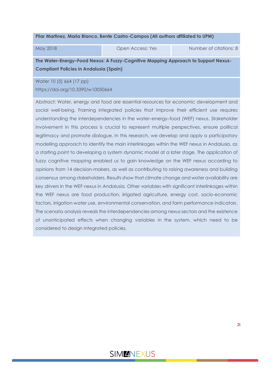#### **Pilar Martinez, Maria Blanco, Bente Castro-Campos (All authors affiliated to UPM)**

May 2018 **Communist Communist Communist Communist Communist Communist Communist Communist Communist Communist Communist Communist Communist Communist Communist Communist Communist Communist Communist Communist Communist Co** 

**The Water–Energy–Food Nexus: A Fuzzy-Cognitive Mapping Approach to Support Nexus-Compliant Policies in Andalusia (Spain)**

Water 10 (5) 664 (17 pp) https://doi.org/10.3390/w10050664

Abstract: Water, energy and food are essential resources for economic development and social well-being. Framing integrated policies that improve their efficient use requires understanding the interdependencies in the water–energy–food (WEF) nexus. Stakeholder involvement in this process is crucial to represent multiple perspectives, ensure political legitimacy and promote dialogue. In this research, we develop and apply a participatory modelling approach to identify the main interlinkages within the WEF nexus in Andalusia, as a starting point to developing a system dynamic model at a later stage. The application of fuzzy cognitive mapping enabled us to gain knowledge on the WEF nexus according to opinions from 14 decision-makers, as well as contributing to raising awareness and building consensus among stakeholders. Results show that climate change and water availability are key drivers in the WEF nexus in Andalusia. Other variables with significant interlinkages within the WEF nexus are food production, irrigated agriculture, energy cost, socio-economic factors, irrigation water use, environmental conservation, and farm performance indicators. The scenario analysis reveals the interdependencies among nexus sectors and the existence of unanticipated effects when changing variables in the system, which need to be considered to design integrated policies.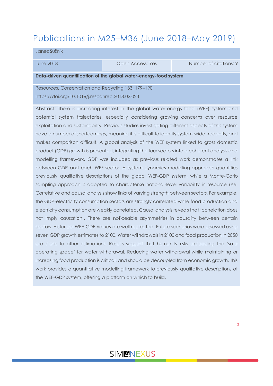## <span id="page-20-0"></span>Publications in M25–M36 (June 2018–May 2019)

|                                                                   | Janez Sušnik                                                                                  |                                                                                                  |                        |  |  |  |  |
|-------------------------------------------------------------------|-----------------------------------------------------------------------------------------------|--------------------------------------------------------------------------------------------------|------------------------|--|--|--|--|
| <b>June 2018</b>                                                  |                                                                                               | Open Access: Yes                                                                                 | Number of citations: 9 |  |  |  |  |
| Data-driven quantification of the global water-energy-food system |                                                                                               |                                                                                                  |                        |  |  |  |  |
|                                                                   | Resources, Conservation and Recycling 133, 179-190                                            |                                                                                                  |                        |  |  |  |  |
|                                                                   | https://doi.org/10.1016/j.resconrec.2018.02.023                                               |                                                                                                  |                        |  |  |  |  |
|                                                                   |                                                                                               | Abstract: There is increasing interest in the global water-energy-food (WEF) system and          |                        |  |  |  |  |
|                                                                   |                                                                                               | potential system trajectories, especially considering growing concerns over resource             |                        |  |  |  |  |
|                                                                   |                                                                                               | exploitation and sustainability. Previous studies investigating different aspects of this system |                        |  |  |  |  |
|                                                                   | have a number of shortcomings, meaning it is difficult to identify system-wide tradeoffs, and |                                                                                                  |                        |  |  |  |  |
|                                                                   | makes comparison difficult. A global analysis of the WEF system linked to gross domestic      |                                                                                                  |                        |  |  |  |  |
|                                                                   | product (GDP) growth is presented, integrating the four sectors into a coherent analysis and  |                                                                                                  |                        |  |  |  |  |
|                                                                   |                                                                                               | modelling framework. GDP was included as previous related work demonstrates a link               |                        |  |  |  |  |
|                                                                   | between GDP and each WEF sector. A system dynamics modelling approach quantifies              |                                                                                                  |                        |  |  |  |  |
|                                                                   |                                                                                               | previously qualitative descriptions of the global WEF-GDP system, while a Monte-Carlo            |                        |  |  |  |  |
|                                                                   | sampling approach is adopted to characterise national-level variability in resource use.      |                                                                                                  |                        |  |  |  |  |
|                                                                   | Correlative and causal analysis show links of varying strength between sectors. For example,  |                                                                                                  |                        |  |  |  |  |
|                                                                   | the GDP-electricity consumption sectors are strongly correlated while food production and     |                                                                                                  |                        |  |  |  |  |
|                                                                   | electricity consumption are weakly correlated. Causal analysis reveals that 'correlation does |                                                                                                  |                        |  |  |  |  |
|                                                                   | not imply causation'. There are noticeable asymmetries in causality between certain           |                                                                                                  |                        |  |  |  |  |
|                                                                   |                                                                                               | sectors. Historical WEF-GDP values are well recreated. Future scenarios were assessed using      |                        |  |  |  |  |

seven GDP growth estimates to 2100. Water withdrawals in 2100 and food production in 2050 are close to other estimations. Results suggest that humanity risks exceeding the 'safe operating space' for water withdrawal. Reducing water withdrawal while maintaining or increasing food production is critical, and should be decoupled from economic growth. This work provides a quantitative modelling framework to previously qualitative descriptions of the WEF-GDP system, offering a platform on which to build.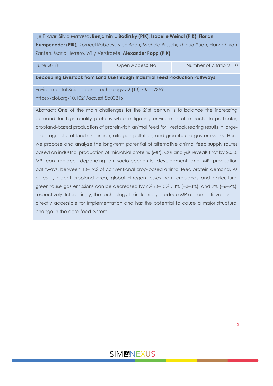Ilje Pikaar, Silvio Matassa, **Benjamin L. Bodirsky (PIK), Isabelle Weindl (PIK), Florian Humpenöder (PIK),** Korneel Rabaey, Nico Boon, Michele Bruschi, Zhiguo Yuan, Hannah van Zanten, Mario Herrero, Willy Verstraete, **Alexander Popp (PIK)**

June 2018 Open Access: No Number of citations: 10

**Decoupling Livestock from Land Use through Industrial Feed Production Pathways**

Environmental Science and Technology 52 (13) 7351–7359 https://doi.org/10.1021/acs.est.8b00216

Abstract: One of the main challenges for the 21st century is to balance the increasing demand for high-quality proteins while mitigating environmental impacts. In particular, cropland-based production of protein-rich animal feed for livestock rearing results in largescale agricultural land-expansion, nitrogen pollution, and greenhouse gas emissions. Here we propose and analyze the long-term potential of alternative animal feed supply routes based on industrial production of microbial proteins (MP). Our analysis reveals that by 2050, MP can replace, depending on socio-economic development and MP production pathways, between 10–19% of conventional crop-based animal feed protein demand. As a result, global cropland area, global nitrogen losses from croplands and agricultural greenhouse gas emissions can be decreased by 6% (0–13%), 8% (−3–8%), and 7% (−6–9%), respectively. Interestingly, the technology to industrially produce MP at competitive costs is directly accessible for implementation and has the potential to cause a major structural change in the agro-food system.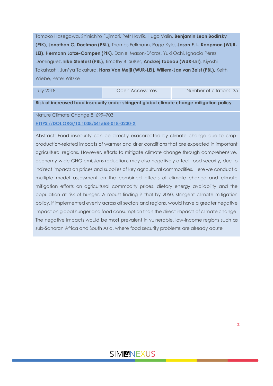Tomoko Hasegawa, Shinichiro Fujimori, Petr Havlík, Hugo Valin, **Benjamin Leon Bodirsky (PIK), Jonathan C. Doelman (PBL),** Thomas Fellmann, Page Kyle, **Jason F. L. Koopman (WUR-LEI), Hermann Lotze-Campen (PIK),** Daniel Mason-D'croz, Yuki Ochi, Ignacio Pérez Domínguez, **Elke Stehfest (PBL),** Timothy B. Sulser, **Andrzej Tabeau (WUR-LEI),** Kiyoshi Takahashi, Jun'ya Takakura, **Hans Van Meijl (WUR-LEI), Willem-Jan van Zeist (PBL),** Keith Wiebe, Peter Witzke

July 2018 Open Access: Yes Number of citations: 35

**Risk of increased food insecurity under stringent global climate change mitigation policy**

Nature Climate Change 8, 699–703 **[HTTPS://DOI.ORG/10.1038/S41558-018-0230-X](https://doi.org/10.1038/s41558-018-0230-x)**

Abstract: Food insecurity can be directly exacerbated by climate change due to cropproduction-related impacts of warmer and drier conditions that are expected in important agricultural regions. However, efforts to mitigate climate change through comprehensive, economy-wide GHG emissions reductions may also negatively affect food security, due to indirect impacts on prices and supplies of key agricultural commodities. Here we conduct a multiple model assessment on the combined effects of climate change and climate mitigation efforts on agricultural commodity prices, dietary energy availability and the population at risk of hunger. A robust finding is that by 2050, stringent climate mitigation policy, if implemented evenly across all sectors and regions, would have a greater negative impact on global hunger and food consumption than the direct impacts of climate change. The negative impacts would be most prevalent in vulnerable, low-income regions such as sub-Saharan Africa and South Asia, where food security problems are already acute.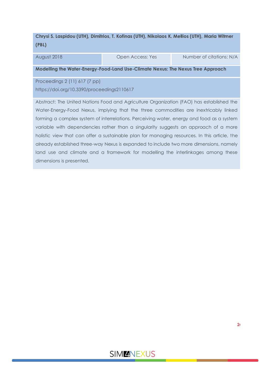#### **Chrysi S. Laspidou (UTH), Dimitrios, T. Kofinas (UTH), Nikolaos K. Mellios (UTH), Maria Witmer (PBL)**

August 2018 **Communist Communist Communist Communist Communist Communist Communist Communist Communist Communist Communist Communist Communist Communist Communist Communist Communist Communist Communist Communist Communist** 

**Modelling the Water-Energy-Food-Land Use-Climate Nexus: The Nexus Tree Approach**

Proceedings 2 (11) 617 (7 pp)

https://doi.org/10.3390/proceedings2110617

Abstract: The United Nations Food and Agriculture Organization (FAO) has established the Water-Energy-Food Nexus, implying that the three commodities are inextricably linked forming a complex system of interrelations. Perceiving water, energy and food as a system variable with dependencies rather than a singularity suggests an approach of a more holistic view that can offer a sustainable plan for managing resources. In this article, the already established three-way Nexus is expanded to include two more dimensions, namely land use and climate and a framework for modelling the interlinkages among these dimensions is presented.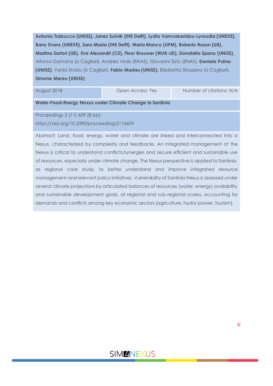**Antonio Trabucco (UNISS), Janez Sušnik (IHE Delft), Lydia Vamvakeridou-Lyroudia (UNEXE), Barry Evans (UNEXE), Sara Masia (IHE Delft), Maria Blanco (UPM), Roberto Roson (UB), Martina Sartori (UB), Eva Alexandri (CE), Floor Brouwer (WUR-LEI), Donatella Spano (UNISS),** Alfonso Damano (U Cagliari), Andrea Virdis (ENAS), Giovanni Sistu (ENAS), **Daniele Pulino (UNISS),** Vania Statzu (U Cagliari), **Fabio Madau (UNISS),** Elisabetta Strazzera (U Cagliari), **Simone Mereu (UNISS)**

August 2018 **Communist Communist Communist Communist Communist Communist Communist Communist Communist Communist Communist Communist Communist Communist Communist Communist Communist Communist Communist Communist Communist** 

#### **Water-Food-Energy Nexus under Climate Change in Sardinia**

Proceedings 2 (11) 609 (8 pp) https://doi.org/10.3390/proceedings2110609

Abstract: Land, food, energy, water and climate are linked and interconnected into a Nexus, characterized by complexity and feedbacks. An integrated management of the Nexus is critical to understand conflicts/synergies and secure efficient and sustainable use of resources, especially under climate change. The Nexus perspective is applied to Sardinia, as regional case study, to better understand and improve integrated resource management and relevant policy initiatives. Vulnerability of Sardinia Nexus is assessed under several climate projections by articulated balances of resources (water, energy) availability and sustainable development goals, at regional and sub-regional scales, accounting for demands and conflicts among key economic sectors (agriculture, hydro-power, tourism).

### **SIMMNEXUS**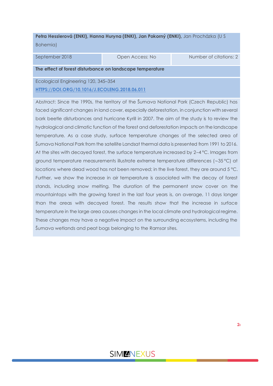**Petra Hesslerová (ENKI), Hanna Huryna (ENKI), Jan Pokorný (ENKI),** Jan Procházka (U S Bohemia)

September 2018 Open Access: No Number of citations: 2

**The effect of forest disturbance on landscape temperature**

Ecological Engineering 120, 345–354 **[HTTPS://DOI.ORG/10.1016/J.ECOLENG.2018.06.011](https://doi.org/10.1016/j.ecoleng.2018.06.011)**

Abstract: Since the 1990s, the territory of the Šumava National Park (Czech Republic) has faced significant changes in land cover, especially deforestation, in conjunction with several bark beetle disturbances and hurricane Kyrill in 2007. The aim of the study is to review the hydrological and climatic function of the forest and deforestation impacts on the landscape temperature. As a case study, surface temperature changes of the selected area of Šumava National Park from the satellite Landsat thermal data is presented from 1991 to 2016. At the sites with decayed forest, the surface temperature increased by 2–4 °C. Images from ground temperature measurements illustrate extreme temperature differences (∼35 °C) at locations where dead wood has not been removed; in the live forest, they are around 5 °C. Further, we show the increase in air temperature is associated with the decay of forest stands, including snow melting. The duration of the permanent snow cover on the mountaintops with the growing forest in the last four years is, on average, 11 days longer than the areas with decayed forest. The results show that the increase in surface temperature in the large area causes changes in the local climate and hydrological regime. These changes may have a negative impact on the surrounding ecosystems, including the Šumava wetlands and peat bogs belonging to the Ramsar sites.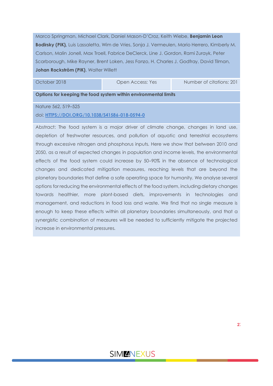Marco Springman, Michael Clark, Daniel Mason-D'Croz, Keith Wiebe, **Benjamin Leon Bodirsky (PIK),** Luis Lassaletta, Wim de Vries, Sonja J. Vermeulen, Mario Herrero, Kimberly M. Carlson, Malin Jonell, Max Troell, Fabrice DeClerck, Line J. Gordon, Rami Zurayk, Peter Scarborough, Mike Rayner, Brent Loken, Jess Fanzo, H. Charles J. Godfray, David Tilman, **Johan Rockström (PIK)**, Walter Willett

October 2018 **Open Access: Yes Number of citations: 201** 

**Options for keeping the food system within environmental limits**

Nature 562, 519–525

doi: **[HTTPS://DOI.ORG/10.1038/S41586-018-0594-0](https://doi.org/10.1038/s41586-018-0594-0)**

Abstract: The food system is a major driver of climate change, changes in land use, depletion of freshwater resources, and pollution of aquatic and terrestrial ecosystems through excessive nitrogen and phosphorus inputs. Here we show that between 2010 and 2050, as a result of expected changes in population and income levels, the environmental effects of the food system could increase by 50–90% in the absence of technological changes and dedicated mitigation measures, reaching levels that are beyond the planetary boundaries that define a safe operating space for humanity. We analyse several options for reducing the environmental effects of the food system, including dietary changes towards healthier, more plant-based diets, improvements in technologies and management, and reductions in food loss and waste. We find that no single measure is enough to keep these effects within all planetary boundaries simultaneously, and that a synergistic combination of measures will be needed to sufficiently mitigate the projected increase in environmental pressures.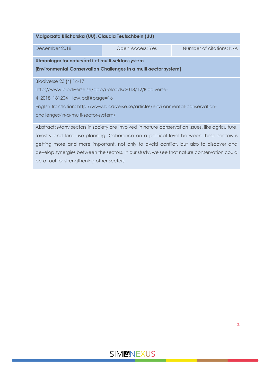| Malgorzata Blicharska (UU), Claudia Teutschbein (UU)                                            |                                                     |  |  |  |  |  |
|-------------------------------------------------------------------------------------------------|-----------------------------------------------------|--|--|--|--|--|
| December 2018                                                                                   | <b>Open Access: Yes</b><br>Number of citations: N/A |  |  |  |  |  |
| Utmaningar för naturvård i et multi-sektorssystem                                               |                                                     |  |  |  |  |  |
| [Environmental Conservation Challenges in a multi-sector system]                                |                                                     |  |  |  |  |  |
|                                                                                                 |                                                     |  |  |  |  |  |
| Biodiverse 23 (4) 16-17                                                                         |                                                     |  |  |  |  |  |
| http://www.biodiverse.se/app/uploads/2018/12/Biodiverse-                                        |                                                     |  |  |  |  |  |
| 4 2018 181204 low.pdf#page=16                                                                   |                                                     |  |  |  |  |  |
| English translation: http://www.biodiverse.se/articles/environmental-conservation-              |                                                     |  |  |  |  |  |
| challenges-in-a-multi-sector-system/                                                            |                                                     |  |  |  |  |  |
| Abstract: Many sectors in society are involved in nature conservation issues, like agriculture, |                                                     |  |  |  |  |  |
| forestry and land-use planning. Coherence on a political level between these sectors is         |                                                     |  |  |  |  |  |

getting more and more important, not only to avoid conflict, but also to discover and develop synergies between the sectors. In our study, we see that nature conservation could be a tool for strengthening other sectors.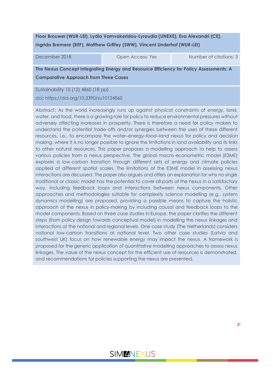### **Floor Brouwer (WUR-LEI), Lydia Vamvakeridou-Lyroudia (UNEXE), Eva Alexandri (CE), Ingrida Bremere (BEF), Matthew Griffey (SWW), Vincent Linderhof (WUR-LEI)**

December 2018 **December 2018** Open Access: Yes Number of citations: 3

**The Nexus Concept Integrating Energy and Resource Efficiency for Policy Assessments: A Comparative Approach from Three Cases**

Sustainability 10 (12) 4860 (18 pp) doi: https://doi.org/10.3390/su10124860

Abstract: As the world increasingly runs up against physical constraints of energy, land, water, and food, there is a growing role for policy to reduce environmental pressures without adversely affecting increases in prosperity. There is therefore a need for policy makers to understand the potential trade-offs and/or synergies between the uses of these different resources, i.e., to encompass the water–energy–food–land nexus for policy and decision making, where it is no longer possible to ignore the limitations in land availability and its links to other natural resources. This paper proposes a modelling approach to help to assess various policies from a nexus perspective. The global macro-econometric model (E3ME) explores a low-carbon transition through different sets of energy and climate policies applied at different spatial scales. The limitations of the E3ME model in assessing nexus interactions are discussed. The paper also argues and offers an explanation for why no single traditional or classic model has the potential to cover all parts of the nexus in a satisfactory way, including feedback loops and interactions between nexus components. Other approaches and methodologies suitable for complexity science modelling (e.g., system dynamics modelling) are proposed, providing a possible means to capture the holistic approach of the nexus in policy-making by including causal and feedback loops to the model components. Based on three case studies in Europe, the paper clarifies the different steps (from policy design towards conceptual model) in modelling the nexus linkages and interactions at the national and regional levels. One case study (The Netherlands) considers national low-carbon transitions at national level. Two other case studies (Latvia and southwest UK) focus on how renewable energy may impact the nexus. A framework is proposed for the generic application of quantitative modelling approaches to assess nexus linkages. The value of the nexus concept for the efficient use of resources is demonstrated, and recommendations for policies supporting the nexus are presented.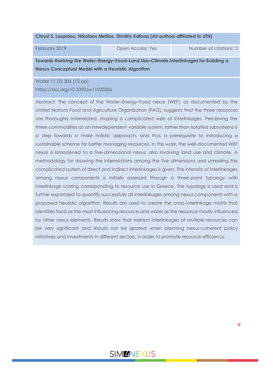#### **Chrysi S. Laspidou, Nikolaos Mellios, Dimitris Kofinas (All authors affiliated to UTH)**

February 2019 **Communist Communist Communist Communist Communist Communist Communist Communist Communist Communist Communist Communist Communist Communist Communist Communist Communist Communist Communist Communist Communi** 

**Towards Ranking the Water–Energy–Food–Land Use–Climate Interlinkages for Building a Nexus Conceptual Model with a Heuristic Algorithm**

Water 11 (2) 306 (12 pp) https://doi.org/10.3390/w11020306

Abstract: The concept of the Water–Energy–Food nexus (WEF), as documented by the United Nations Food and Agriculture Organization (FAO), suggests that the three resources are thoroughly interrelated, shaping a complicated web of interlinkages. Perceiving the three commodities as an interdependent variable system, rather than isolated subsystems is a step towards a more holistic approach, and thus a prerequisite to introducing a sustainable scheme for better managing resources. In this work, the well-documented WEF nexus is broadened to a five-dimensional nexus, also involving land use and climate. A methodology for drawing the interrelations among the five dimensions and unreeling the complicated system of direct and indirect interlinkages is given. The intensity of interlinkages among nexus components is initially assessed through a three-point typology with interlinkage scoring corresponding to resource use in Greece. The typology is used and is further expanded to quantify successfully all interlinkages among nexus components with a proposed heuristic algorithm. Results are used to create the cross-interlinkage matrix that identifies food as the most influencing resource and water as the resource mostly influenced by other nexus elements. Results show that indirect interlinkages of multiple resources can be very significant and should not be ignored when planning nexus-coherent policy initiatives and investments in different sectors, in order to promote resource efficiency.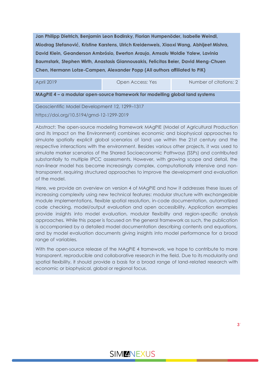**Jan Philipp Dietrich, Benjamin Leon Bodirsky, Florian Humpenöder, Isabelle Weindl, Miodrag Stefanović, Kristine Karstens, Ulrich Kreidenweis, Xiaoxi Wang, Abhijeet Mishra, David Klein, Geanderson Ambrósio, Ewerton Araujo, Amsalu Woldie Yalew, Lavinia Baumstark, Stephen Wirth, Anastasis Giannousakis, Felicitas Beier, David Meng-Chuen Chen, Hermann Lotze-Campen, Alexander Popp (All authors affiliated to PIK)**

April 2019 **Open Access: Yes Number of citations: 2** Open Access: Yes Number of citations: 2

**MAgPIE 4 – a modular open-source framework for modelling global land systems**

Geoscientific Model Development 12, 1299–1317

https://doi.org/10.5194/gmd-12-1299-2019

Abstract: The open-source modeling framework MAgPIE (Model of Agricultural Production and its Impact on the Environment) combines economic and biophysical approaches to simulate spatially explicit global scenarios of land use within the 21st century and the respective interactions with the environment. Besides various other projects, it was used to simulate marker scenarios of the Shared Socioeconomic Pathways (SSPs) and contributed substantially to multiple IPCC assessments. However, with growing scope and detail, the non-linear model has become increasingly complex, computationally intensive and nontransparent, requiring structured approaches to improve the development and evaluation of the model.

Here, we provide an overview on version 4 of MAgPIE and how it addresses these issues of increasing complexity using new technical features: modular structure with exchangeable module implementations, flexible spatial resolution, in-code documentation, automatized code checking, model/output evaluation and open accessibility. Application examples provide insights into model evaluation, modular flexibility and region-specific analysis approaches. While this paper is focused on the general framework as such, the publication is accompanied by a detailed model documentation describing contents and equations, and by model evaluation documents giving insights into model performance for a broad range of variables.

With the open-source release of the MAgPIE 4 framework, we hope to contribute to more transparent, reproducible and collaborative research in the field. Due to its modularity and spatial flexibility, it should provide a basis for a broad range of land-related research with economic or biophysical, global or regional focus.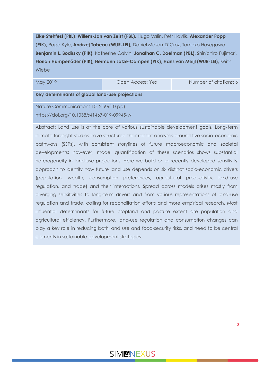**Elke Stehfest (PBL), Willem-Jan van Zeist (PBL),** Hugo Valin, Petr Havlik, **Alexander Popp (PIK),** Page Kyle, **Andrzej Tabeau (WUR-LEI),** Daniel Mason-D'Croz, Tomoko Hasegawa, **Benjamin L. Bodirsky (PIK),** Katherine Calvin, **Jonathan C. Doelman (PBL),** Shinichiro Fujimori, **Florian Humpenöder (PIK), Hermann Lotze-Campen (PIK), Hans van Meijl (WUR-LEI),** Keith **Wiebe** 

May 2019 **Community Community Community** Open Access: Yes Number of citations: 6

**Key determinants of global land-use projections**

Nature Communications 10, 2166(10 pp) https://doi.org/10.1038/s41467-019-09945-w

Abstract: Land use is at the core of various sustainable development goals. Long-term climate foresight studies have structured their recent analyses around five socio-economic pathways (SSPs), with consistent storylines of future macroeconomic and societal developments; however, model quantification of these scenarios shows substantial heterogeneity in land-use projections. Here we build on a recently developed sensitivity approach to identify how future land use depends on six distinct socio-economic drivers (population, wealth, consumption preferences, agricultural productivity, land-use regulation, and trade) and their interactions. Spread across models arises mostly from diverging sensitivities to long-term drivers and from various representations of land-use regulation and trade, calling for reconciliation efforts and more empirical research. Most influential determinants for future cropland and pasture extent are population and agricultural efficiency. Furthermore, land-use regulation and consumption changes can play a key role in reducing both land use and food-security risks, and need to be central elements in sustainable development strategies.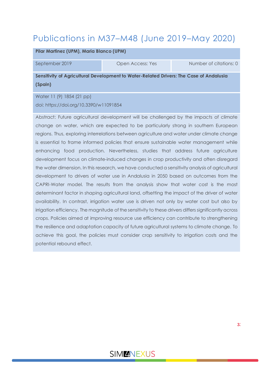### <span id="page-32-0"></span>Publications in M37–M48 (June 2019–May 2020)

#### **Pilar Martinez (UPM), Maria Blanco (UPM)**

September 2019 **Open Access: Yes Number of citations: 0** 

**Sensitivity of Agricultural Development to Water-Related Drivers: The Case of Andalusia (Spain)**

Water 11 (9) 1854 (21 pp) doi: https://doi.org/10.3390/w11091854

Abstract: Future agricultural development will be challenged by the impacts of climate change on water, which are expected to be particularly strong in southern European regions. Thus, exploring interrelations between agriculture and water under climate change is essential to frame informed policies that ensure sustainable water management while enhancing food production. Nevertheless, studies that address future agriculture development focus on climate-induced changes in crop productivity and often disregard the water dimension. In this research, we have conducted a sensitivity analysis of agricultural development to drivers of water use in Andalusia in 2050 based on outcomes from the CAPRI-Water model. The results from the analysis show that water cost is the most determinant factor in shaping agricultural land, offsetting the impact of the driver of water availability. In contrast, irrigation water use is driven not only by water cost but also by irrigation efficiency. The magnitude of the sensitivity to these drivers differs significantly across crops. Policies aimed at improving resource use efficiency can contribute to strengthening the resilience and adaptation capacity of future agricultural systems to climate change. To achieve this goal, the policies must consider crop sensitivity to irrigation costs and the potential rebound effect.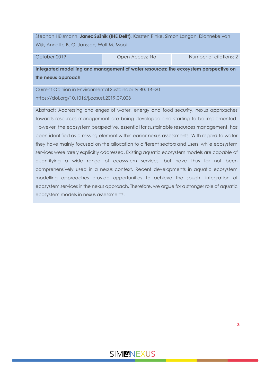Stephan Hülsmann, **Janez Sušnik (IHE Delft),** Karsten Rinke, Simon Langan, Dianneke van Wijk, Annette B. G. Janssen, Wolf M. Mooij

October 2019 Open Access: No Number of citations: 2

**Integrated modelling and management of water resources: the ecosystem perspective on the nexus approach**

Current Opinion in Environmental Sustainability 40, 14–20 https://doi.org/10.1016/j.cosust.2019.07.003

Abstract: Addressing challenges of water, energy and food security, nexus approaches towards resources management are being developed and starting to be implemented. However, the ecosystem perspective, essential for sustainable resources management, has been identified as a missing element within earlier nexus assessments. With regard to water they have mainly focused on the allocation to different sectors and users, while ecosystem services were rarely explicitly addressed. Existing aquatic ecosystem models are capable of quantifying a wide range of ecosystem services, but have thus far not been comprehensively used in a nexus context. Recent developments in aquatic ecosystem modelling approaches provide opportunities to achieve the sought integration of ecosystem services in the nexus approach. Therefore, we argue for a stronger role of aquatic ecosystem models in nexus assessments.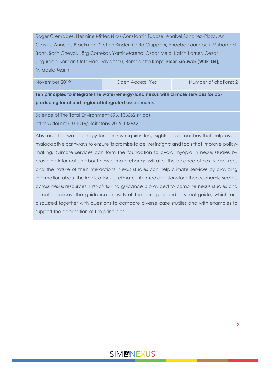Roger Cremades, Hermine Mitter, Nicu Constantin Tudose, Anabel Sanchez-Plaza, Anil Graves, Annelies Broekman, Steffen Binder, Carlo Giupponi, Phoebe Koundouri, Muhamad Bahri, Sorin Cheval, Jörg Cortekar, Yamir Moreno, Oscar Melo, Katrin Karner, Cezar Ungurean, Serban Octavian Davidescu, Bernadette Kropf, **Floor Brouwer (WUR-LEI),** Mirabela Marin

November 2019 **Community Community** Open Access: Yes Number of citations: 2

**Ten principles to integrate the water-energy-land nexus with climate services for coproducing local and regional integrated assessments**

Science of The Total Environment 693, 133662 (9 pp) https://doi.org/10.1016/j.scitotenv.2019.133662

Abstract: The water-energy-land nexus requires long-sighted approaches that help avoid maladaptive pathways to ensure its promise to deliver insights and tools that improve policymaking. Climate services can form the foundation to avoid myopia in nexus studies by providing information about how climate change will alter the balance of nexus resources and the nature of their interactions. Nexus studies can help climate services by providing information about the implications of climate-informed decisions for other economic sectors across nexus resources. First-of-its-kind guidance is provided to combine nexus studies and climate services. The guidance consists of ten principles and a visual guide, which are discussed together with questions to compare diverse case studies and with examples to support the application of the principles.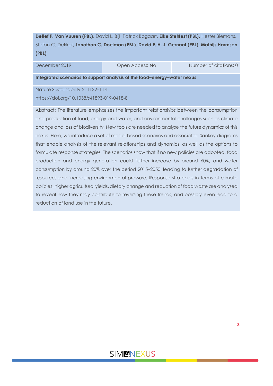**Detlef P. Van Vuuren (PBL),** David L. Bijl, Patrick Bogaart, **Elke Stehfest (PBL),** Hester Biemans, Stefan C. Dekker, **Jonathan C. Doelman (PBL), David E. H. J. Gernaat (PBL), Mathijs Harmsen (PBL)**

December 2019 Open Access: No Number of citations: 0

**Integrated scenarios to support analysis of the food–energy–water nexus**

Nature Sustainability 2, 1132–1141 https://doi.org/10.1038/s41893-019-0418-8

Abstract: The literature emphasizes the important relationships between the consumption and production of food, energy and water, and environmental challenges such as climate change and loss of biodiversity. New tools are needed to analyse the future dynamics of this nexus. Here, we introduce a set of model-based scenarios and associated Sankey diagrams that enable analysis of the relevant relationships and dynamics, as well as the options to formulate response strategies. The scenarios show that if no new policies are adopted, food production and energy generation could further increase by around 60%, and water consumption by around 20% over the period 2015–2050, leading to further degradation of resources and increasing environmental pressure. Response strategies in terms of climate policies, higher agricultural yields, dietary change and reduction of food waste are analysed to reveal how they may contribute to reversing these trends, and possibly even lead to a reduction of land use in the future.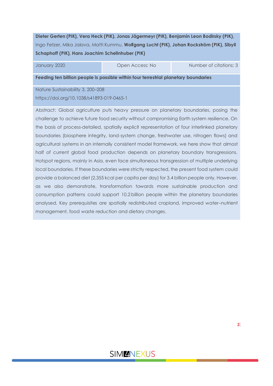**Dieter Gerten (PIK), Vera Heck (PIK), Jonas Jägermeyr (PIK), Benjamin Leon Bodirsky (PIK),** Ingo Fetzer, Mika Jalava, Matti Kummu, **Wolfgang Lucht (PIK), Johan Rockström (PIK), Sibyll Schaphoff (PIK), Hans Joachim Schellnhuber (PIK)**

January 2020 Open Access: No Number of citations: 3

**Feeding ten billion people is possible within four terrestrial planetary boundaries**

Nature Sustainability 3, 200–208 https://doi.org/10.1038/s41893-019-0465-1

Abstract: Global agriculture puts heavy pressure on planetary boundaries, posing the challenge to achieve future food security without compromising Earth system resilience. On the basis of process-detailed, spatially explicit representation of four interlinked planetary boundaries (biosphere integrity, land-system change, freshwater use, nitrogen flows) and agricultural systems in an internally consistent model framework, we here show that almost half of current global food production depends on planetary boundary transgressions. Hotspot regions, mainly in Asia, even face simultaneous transgression of multiple underlying local boundaries. If these boundaries were strictly respected, the present food system could provide a balanced diet (2,355 kcal per capita per day) for 3.4 billion people only. However, as we also demonstrate, transformation towards more sustainable production and consumption patterns could support 10.2 billion people within the planetary boundaries analysed. Key prerequisites are spatially redistributed cropland, improved water–nutrient management, food waste reduction and dietary changes.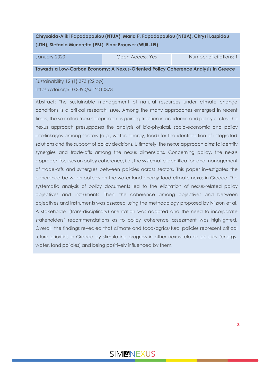### **Chrysaida-Aliki Papadopoulou (NTUA), Maria P. Papadopoulou (NTUA), Chrysi Laspidou (UTH), Stefania Munaretto (PBL), Floor Brouwer (WUR-LEI)**

January 2020 **Defect Community** Open Access: Yes Number of citations: 1

**Towards a Low-Carbon Economy: A Nexus-Oriented Policy Coherence Analysis in Greece**

Sustainability 12 (1) 373 (22 pp) https://doi.org/10.3390/su12010373

Abstract: The sustainable management of natural resources under climate change conditions is a critical research issue. Among the many approaches emerged in recent times, the so-called 'nexus approach' is gaining traction in academic and policy circles. The nexus approach presupposes the analysis of bio-physical, socio-economic and policy interlinkages among sectors (e.g., water, energy, food) for the identification of integrated solutions and the support of policy decisions. Ultimately, the nexus approach aims to identify synergies and trade-offs among the nexus dimensions. Concerning policy, the nexus approach focuses on policy coherence, i.e., the systematic identification and management of trade-offs and synergies between policies across sectors. This paper investigates the coherence between policies on the water-land-energy-food-climate nexus in Greece. The systematic analysis of policy documents led to the elicitation of nexus-related policy objectives and instruments. Then, the coherence among objectives and between objectives and instruments was assessed using the methodology proposed by Nilsson et al. A stakeholder (trans-disciplinary) orientation was adopted and the need to incorporate stakeholders' recommendations as to policy coherence assessment was highlighted. Overall, the findings revealed that climate and food/agricultural policies represent critical future priorities in Greece by stimulating progress in other nexus-related policies (energy, water, land policies) and being positively influenced by them.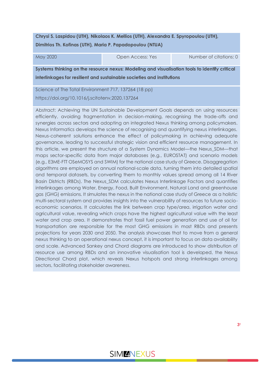### **Chrysi S. Laspidou (UTH), Nikolaos K. Mellios (UTH), Alexandra E. Spyropoulou (UTH), Dimitrios Th. Kofinas (UTH), Maria P. Papadopoulou (NTUA)**

May 2020 **Community Community Community Community** Open Access: Yes Number of citations: 0

**Systems thinking on the resource nexus: Modeling and visualisation tools to identify critical interlinkages for resilient and sustainable societies and institutions**

Science of The Total Environment 717, 137264 (18 pp) https://doi.org/10.1016/j.scitotenv.2020.137264

Abstract: Achieving the UN Sustainable Development Goals depends on using resources efficiently, avoiding fragmentation in decision-making, recognising the trade-offs and synergies across sectors and adopting an integrated Nexus thinking among policymakers. Nexus Informatics develops the science of recognising and quantifying nexus interlinkages. Nexus-coherent solutions enhance the effect of policymaking in achieving adequate governance, leading to successful strategic vision and efficient resource management. In this article, we present the structure of a System Dynamics Model—the Nexus\_SDM—that maps sector-specific data from major databases (e.g., EUROSTAT) and scenario models (e.g., E3ME-FTT OSeMOSYS and SWIM) for the national case study of Greece. Disaggregation algorithms are employed on annual national-scale data, turning them into detailed spatial and temporal datasets, by converting them to monthly values spread among all 14 River Basin Districts (RBDs). The Nexus\_SDM calculates Nexus Interlinkage Factors and quantifies interlinkages among Water, Energy, Food, Built Environment, Natural Land and greenhouse gas (GHG) emissions. It simulates the nexus in the national case study of Greece as a holistic multi-sectoral system and provides insights into the vulnerability of resources to future socioeconomic scenarios. It calculates the link between crop type/area, irrigation water and agricultural value, revealing which crops have the highest agricultural value with the least water and crop area. It demonstrates that fossil fuel power generation and use of oil for transportation are responsible for the most GHG emissions in most RBDs and presents projections for years 2030 and 2050. The analysis showcases that to move from a general nexus thinking to an operational nexus concept, it is important to focus on data availability and scale. Advanced Sankey and Chord diagrams are introduced to show distribution of resource use among RBDs and an innovative visualisation tool is developed, the Nexus Directional Chord plot, which reveals Nexus hotspots and strong interlinkages among sectors, facilitating stakeholder awareness.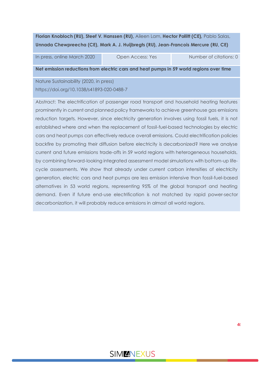### **Florian Knobloch (RU), Steef V. Hanssen (RU),** Aileen Lam, **Hector Pollitt (CE),** Pablo Salas, **Unnada Chewpreecha (CE), Mark A. J. Huijbregts (RU), Jean-Francois Mercure (RU, CE)**

In press, online March 2020 Open Access: Yes Number of citations: 0

**Net emission reductions from electric cars and heat pumps in 59 world regions over time**

Nature Sustainability (2020, in press) https://doi.org/10.1038/s41893-020-0488-7

Abstract: The electrification of passenger road transport and household heating features prominently in current and planned policy frameworks to achieve greenhouse gas emissions reduction targets. However, since electricity generation involves using fossil fuels, it is not established where and when the replacement of fossil-fuel-based technologies by electric cars and heat pumps can effectively reduce overall emissions. Could electrification policies backfire by promoting their diffusion before electricity is decarbonized? Here we analyse current and future emissions trade-offs in 59 world regions with heterogeneous households, by combining forward-looking integrated assessment model simulations with bottom-up lifecycle assessments. We show that already under current carbon intensities of electricity generation, electric cars and heat pumps are less emission intensive than fossil-fuel-based alternatives in 53 world regions, representing 95% of the global transport and heating demand. Even if future end-use electrification is not matched by rapid power-sector decarbonization, it will probably reduce emissions in almost all world regions.

### **SIMMNEXUS**